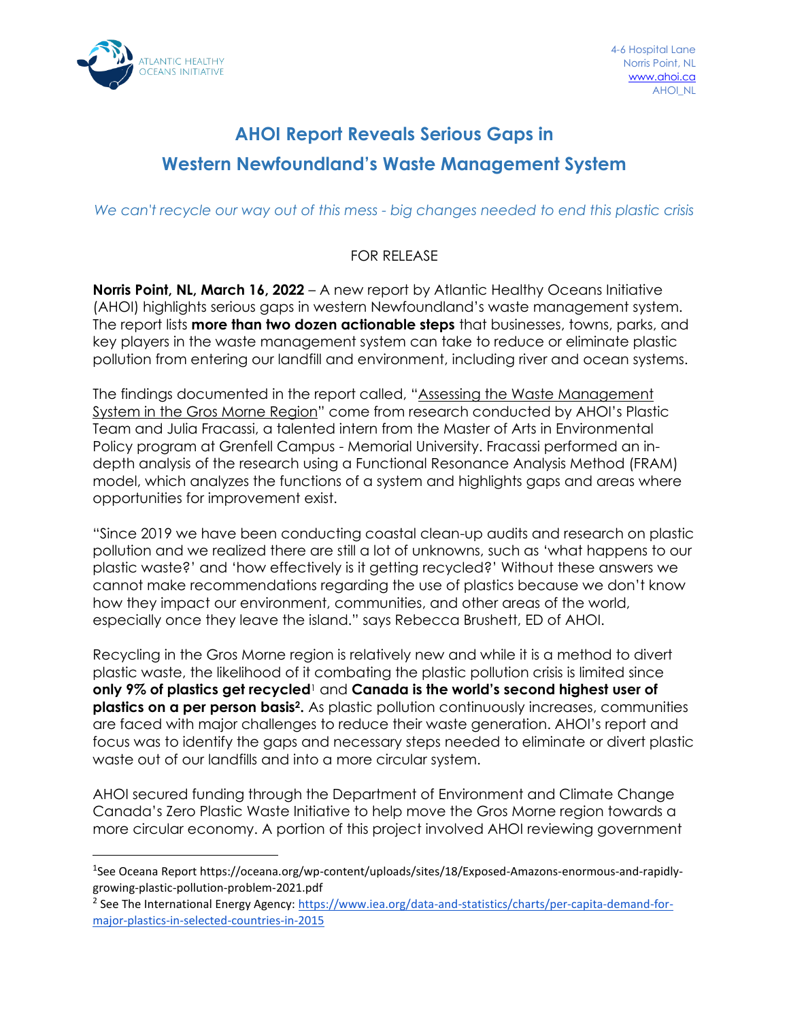

## **AHOI Report Reveals Serious Gaps in Western Newfoundland's Waste Management System**

*We can't recycle our way out of this mess - big changes needed to end this plastic crisis*

## FOR RELEASE

**Norris Point, NL, March 16, 2022** – A new report by Atlantic Healthy Oceans Initiative (AHOI) highlights serious gaps in western Newfoundland's waste management system. The report lists **more than two dozen actionable steps** that businesses, towns, parks, and key players in the waste management system can take to reduce or eliminate plastic pollution from entering our landfill and environment, including river and ocean systems.

The findings documented in the report called, "Assessing the Waste Management System in the Gros Morne Region" come from research conducted by AHOI's Plastic Team and Julia Fracassi, a talented intern from the Master of Arts in Environmental Policy program at Grenfell Campus - Memorial University. Fracassi performed an indepth analysis of the research using a Functional Resonance Analysis Method (FRAM) model, which analyzes the functions of a system and highlights gaps and areas where opportunities for improvement exist.

"Since 2019 we have been conducting coastal clean-up audits and research on plastic pollution and we realized there are still a lot of unknowns, such as 'what happens to our plastic waste?' and 'how effectively is it getting recycled?' Without these answers we cannot make recommendations regarding the use of plastics because we don't know how they impact our environment, communities, and other areas of the world, especially once they leave the island." says Rebecca Brushett, ED of AHOI.

Recycling in the Gros Morne region is relatively new and while it is a method to divert plastic waste, the likelihood of it combating the plastic pollution crisis is limited since **only 9% of plastics get recycled**<sup>1</sup> and **Canada is the world's second highest user of plastics on a per person basis<sup>2</sup> .** As plastic pollution continuously increases, communities are faced with major challenges to reduce their waste generation. AHOI's report and focus was to identify the gaps and necessary steps needed to eliminate or divert plastic waste out of our landfills and into a more circular system.

AHOI secured funding through the Department of Environment and Climate Change Canada's Zero Plastic Waste Initiative to help move the Gros Morne region towards a more circular economy. A portion of this project involved AHOI reviewing government

<sup>1</sup> See Oceana Report [https://oceana.org/wp-content/uploads/sites/18/Exposed-Amazons-enormous-and-rapidly](https://oceana.org/wp-content/uploads/sites/18/Exposed-Amazons-enormous-and-rapidly-growing-plastic-pollution-problem-2021.pdf)[growing-plastic-pollution-problem-2021.pdf](https://oceana.org/wp-content/uploads/sites/18/Exposed-Amazons-enormous-and-rapidly-growing-plastic-pollution-problem-2021.pdf)

<sup>&</sup>lt;sup>2</sup> See The International Energy Agency[: https://www.iea.org/data-and-statistics/charts/per-capita-demand-for](https://www.iea.org/data-and-statistics/charts/per-capita-demand-for-major-plastics-in-selected-countries-in-2015)[major-plastics-in-selected-countries-in-2015](https://www.iea.org/data-and-statistics/charts/per-capita-demand-for-major-plastics-in-selected-countries-in-2015)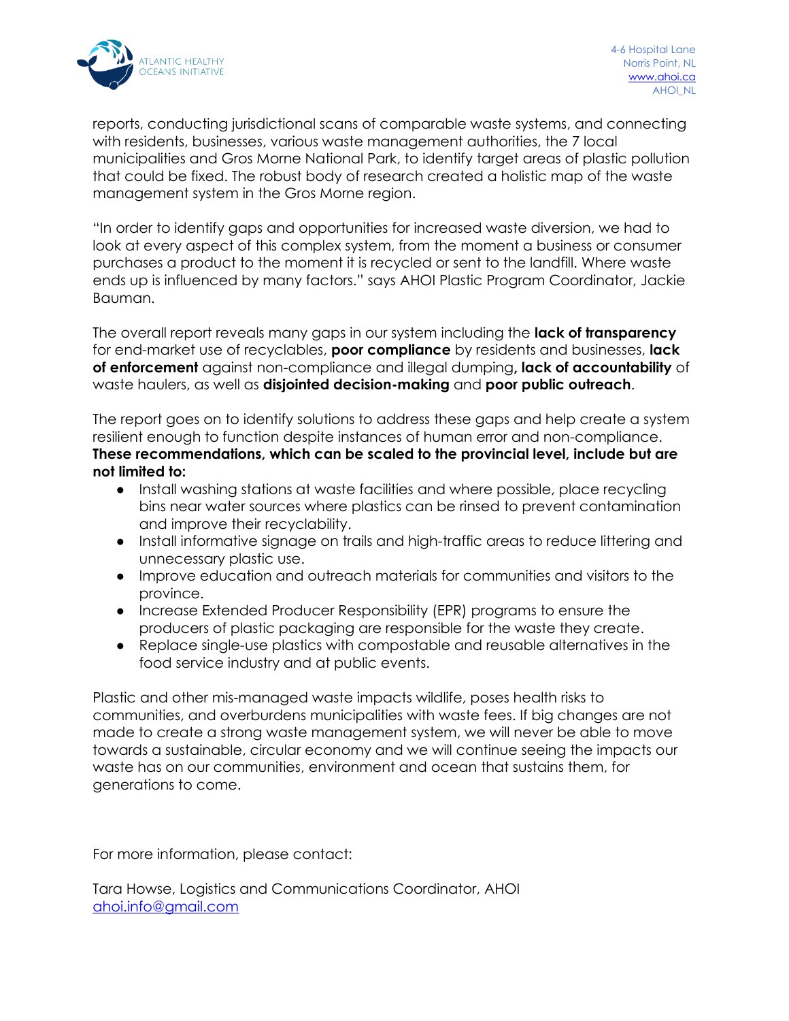

reports, conducting jurisdictional scans of comparable waste systems, and connecting with residents, businesses, various waste management authorities, the 7 local municipalities and Gros Morne National Park, to identify target areas of plastic pollution that could be fixed. The robust body of research created a holistic map of the waste management system in the Gros Morne region.

"In order to identify gaps and opportunities for increased waste diversion, we had to look at every aspect of this complex system, from the moment a business or consumer purchases a product to the moment it is recycled or sent to the landfill. Where waste ends up is influenced by many factors." says AHOI Plastic Program Coordinator, Jackie Bauman.

The overall report reveals many gaps in our system including the **lack of transparency** for end-market use of recyclables, **poor compliance** by residents and businesses, **lack of enforcement** against non-compliance and illegal dumping**, lack of accountability** of waste haulers, as well as **disjointed decision-making** and **poor public outreach**.

The report goes on to identify solutions to address these gaps and help create a system resilient enough to function despite instances of human error and non-compliance. **These recommendations, which can be scaled to the provincial level, include but are not limited to:**

- Install washing stations at waste facilities and where possible, place recycling bins near water sources where plastics can be rinsed to prevent contamination and improve their recyclability.
- Install informative signage on trails and high-traffic areas to reduce littering and unnecessary plastic use.
- Improve education and outreach materials for communities and visitors to the province.
- Increase Extended Producer Responsibility (EPR) programs to ensure the producers of plastic packaging are responsible for the waste they create.
- Replace single-use plastics with compostable and reusable alternatives in the food service industry and at public events.

Plastic and other mis-managed waste impacts wildlife, poses health risks to communities, and overburdens municipalities with waste fees. If big changes are not made to create a strong waste management system, we will never be able to move towards a sustainable, circular economy and we will continue seeing the impacts our waste has on our communities, environment and ocean that sustains them, for generations to come.

For more information, please contact:

Tara Howse, Logistics and Communications Coordinator, AHOI [ahoi.info@gmail.com](mailto:ahoi.info@gmail.com)